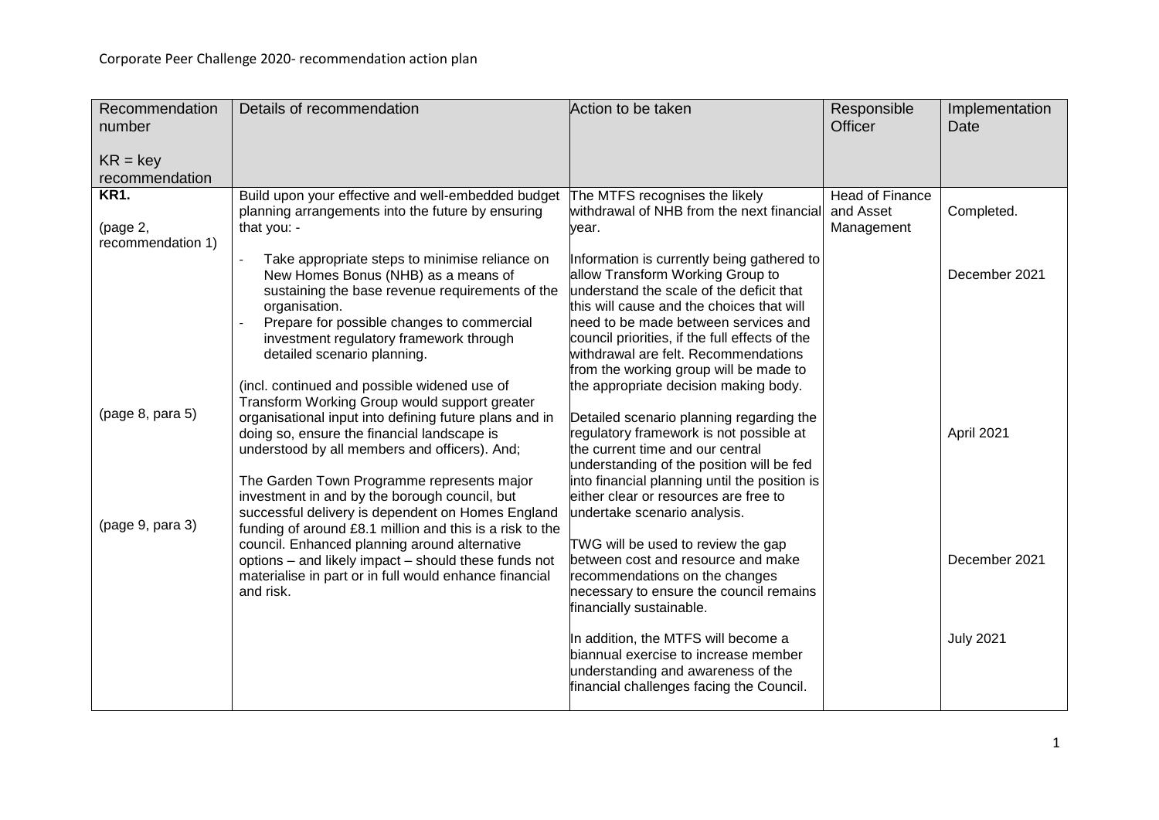| Recommendation<br>number      | Details of recommendation                                                                                      | Action to be taken                                                                     | Responsible<br><b>Officer</b> | Implementation<br>Date |
|-------------------------------|----------------------------------------------------------------------------------------------------------------|----------------------------------------------------------------------------------------|-------------------------------|------------------------|
|                               |                                                                                                                |                                                                                        |                               |                        |
| $KR = key$                    |                                                                                                                |                                                                                        |                               |                        |
| recommendation                |                                                                                                                |                                                                                        |                               |                        |
| <b>KR1.</b>                   | Build upon your effective and well-embedded budget                                                             | The MTFS recognises the likely                                                         | <b>Head of Finance</b>        |                        |
|                               | planning arrangements into the future by ensuring                                                              | withdrawal of NHB from the next financial                                              | and Asset                     | Completed.             |
| (page 2,<br>recommendation 1) | that you: -                                                                                                    | vear.                                                                                  | Management                    |                        |
|                               | Take appropriate steps to minimise reliance on                                                                 | Information is currently being gathered to                                             |                               |                        |
|                               | New Homes Bonus (NHB) as a means of                                                                            | allow Transform Working Group to                                                       |                               | December 2021          |
|                               | sustaining the base revenue requirements of the                                                                | understand the scale of the deficit that                                               |                               |                        |
|                               | organisation.                                                                                                  | this will cause and the choices that will                                              |                               |                        |
|                               | Prepare for possible changes to commercial                                                                     | need to be made between services and                                                   |                               |                        |
|                               | investment regulatory framework through<br>detailed scenario planning.                                         | council priorities, if the full effects of the<br>withdrawal are felt. Recommendations |                               |                        |
|                               |                                                                                                                | from the working group will be made to                                                 |                               |                        |
|                               | (incl. continued and possible widened use of                                                                   | the appropriate decision making body.                                                  |                               |                        |
|                               | Transform Working Group would support greater                                                                  |                                                                                        |                               |                        |
| (page 8, para 5)              | organisational input into defining future plans and in                                                         | Detailed scenario planning regarding the                                               |                               |                        |
|                               | doing so, ensure the financial landscape is                                                                    | regulatory framework is not possible at                                                |                               | April 2021             |
|                               | understood by all members and officers). And;                                                                  | the current time and our central<br>understanding of the position will be fed          |                               |                        |
|                               | The Garden Town Programme represents major                                                                     | into financial planning until the position is                                          |                               |                        |
|                               | investment in and by the borough council, but                                                                  | either clear or resources are free to                                                  |                               |                        |
|                               | successful delivery is dependent on Homes England                                                              | undertake scenario analysis.                                                           |                               |                        |
| (page 9, para 3)              | funding of around £8.1 million and this is a risk to the                                                       |                                                                                        |                               |                        |
|                               | council. Enhanced planning around alternative                                                                  | TWG will be used to review the gap                                                     |                               |                        |
|                               | options - and likely impact - should these funds not<br>materialise in part or in full would enhance financial | between cost and resource and make<br>recommendations on the changes                   |                               | December 2021          |
|                               | and risk.                                                                                                      | necessary to ensure the council remains                                                |                               |                        |
|                               |                                                                                                                | financially sustainable.                                                               |                               |                        |
|                               |                                                                                                                |                                                                                        |                               |                        |
|                               |                                                                                                                | In addition, the MTFS will become a                                                    |                               | <b>July 2021</b>       |
|                               |                                                                                                                | biannual exercise to increase member                                                   |                               |                        |
|                               |                                                                                                                | understanding and awareness of the<br>financial challenges facing the Council.         |                               |                        |
|                               |                                                                                                                |                                                                                        |                               |                        |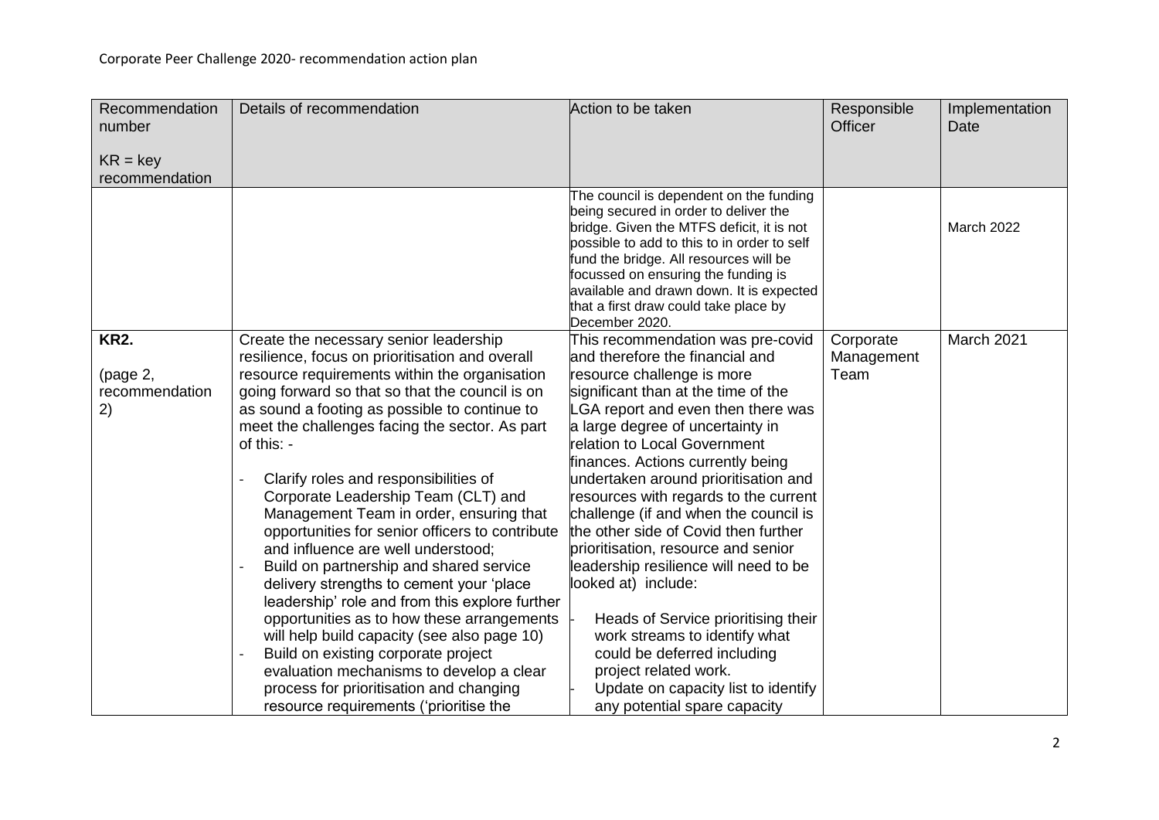| Recommendation<br>number                        | Details of recommendation                                                                                                                                                                                                                                                                                                                                                                                                                                                                                                                                                                                                                                                                                                                                                                                                                                                                                                                                                            | Action to be taken                                                                                                                                                                                                                                                                                                                                                                                                                                                                                                                                                                                                                                                                                                                                                       | Responsible<br><b>Officer</b>   | Implementation<br>Date |
|-------------------------------------------------|--------------------------------------------------------------------------------------------------------------------------------------------------------------------------------------------------------------------------------------------------------------------------------------------------------------------------------------------------------------------------------------------------------------------------------------------------------------------------------------------------------------------------------------------------------------------------------------------------------------------------------------------------------------------------------------------------------------------------------------------------------------------------------------------------------------------------------------------------------------------------------------------------------------------------------------------------------------------------------------|--------------------------------------------------------------------------------------------------------------------------------------------------------------------------------------------------------------------------------------------------------------------------------------------------------------------------------------------------------------------------------------------------------------------------------------------------------------------------------------------------------------------------------------------------------------------------------------------------------------------------------------------------------------------------------------------------------------------------------------------------------------------------|---------------------------------|------------------------|
| $KR = key$<br>recommendation                    |                                                                                                                                                                                                                                                                                                                                                                                                                                                                                                                                                                                                                                                                                                                                                                                                                                                                                                                                                                                      |                                                                                                                                                                                                                                                                                                                                                                                                                                                                                                                                                                                                                                                                                                                                                                          |                                 |                        |
|                                                 |                                                                                                                                                                                                                                                                                                                                                                                                                                                                                                                                                                                                                                                                                                                                                                                                                                                                                                                                                                                      | The council is dependent on the funding<br>being secured in order to deliver the<br>bridge. Given the MTFS deficit, it is not<br>possible to add to this to in order to self<br>fund the bridge. All resources will be<br>focussed on ensuring the funding is<br>available and drawn down. It is expected<br>that a first draw could take place by<br>December 2020.                                                                                                                                                                                                                                                                                                                                                                                                     |                                 | March 2022             |
| <b>KR2.</b><br>(page 2,<br>recommendation<br>2) | Create the necessary senior leadership<br>resilience, focus on prioritisation and overall<br>resource requirements within the organisation<br>going forward so that so that the council is on<br>as sound a footing as possible to continue to<br>meet the challenges facing the sector. As part<br>of this: -<br>Clarify roles and responsibilities of<br>$\overline{a}$<br>Corporate Leadership Team (CLT) and<br>Management Team in order, ensuring that<br>opportunities for senior officers to contribute<br>and influence are well understood;<br>Build on partnership and shared service<br>delivery strengths to cement your 'place<br>leadership' role and from this explore further<br>opportunities as to how these arrangements<br>will help build capacity (see also page 10)<br>Build on existing corporate project<br>$\overline{a}$<br>evaluation mechanisms to develop a clear<br>process for prioritisation and changing<br>resource requirements ('prioritise the | This recommendation was pre-covid<br>and therefore the financial and<br>resource challenge is more<br>significant than at the time of the<br>LGA report and even then there was<br>a large degree of uncertainty in<br>relation to Local Government<br>finances. Actions currently being<br>undertaken around prioritisation and<br>resources with regards to the current<br>challenge (if and when the council is<br>the other side of Covid then further<br>prioritisation, resource and senior<br>leadership resilience will need to be<br>looked at) include:<br>Heads of Service prioritising their<br>work streams to identify what<br>could be deferred including<br>project related work.<br>Update on capacity list to identify<br>any potential spare capacity | Corporate<br>Management<br>Team | March 2021             |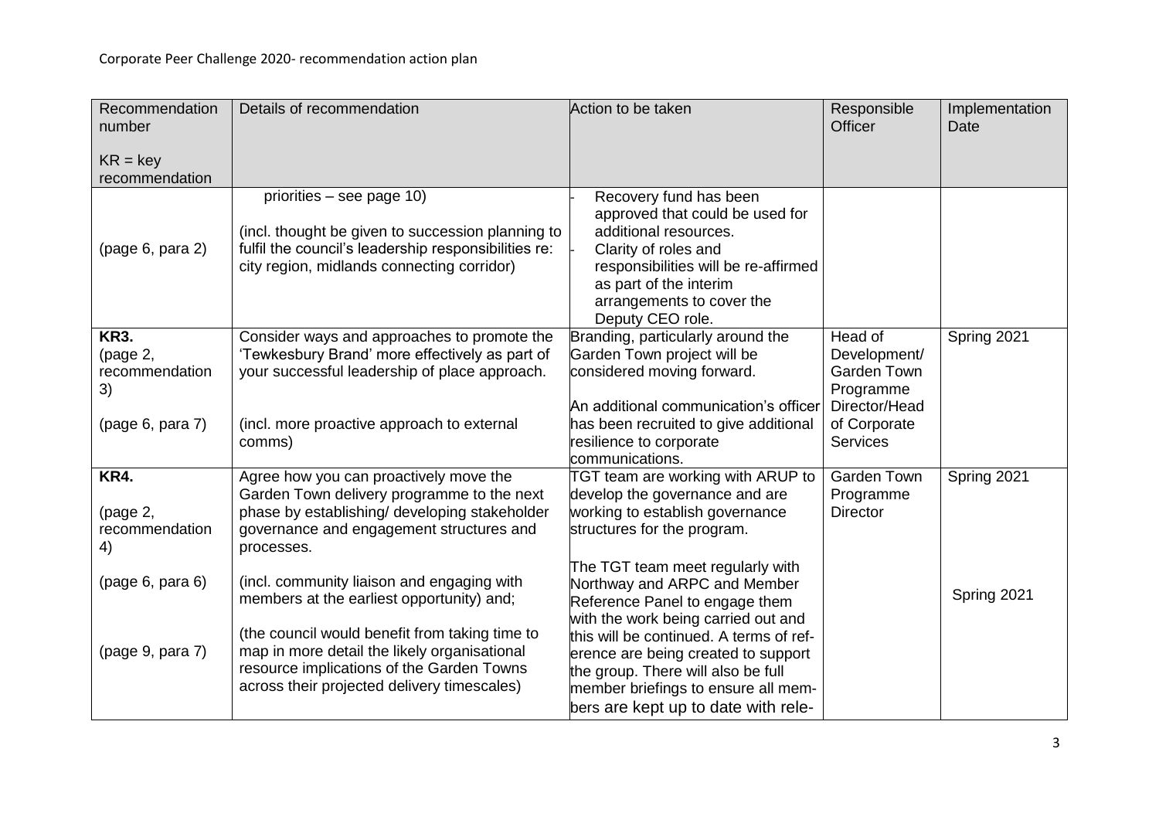| Recommendation<br>number                                            | Details of recommendation                                                                                                                                                                                                                                                             | Action to be taken                                                                                                                                                                                                                                                                                                                              | Responsible<br><b>Officer</b>                                                                                  | Implementation<br>Date |
|---------------------------------------------------------------------|---------------------------------------------------------------------------------------------------------------------------------------------------------------------------------------------------------------------------------------------------------------------------------------|-------------------------------------------------------------------------------------------------------------------------------------------------------------------------------------------------------------------------------------------------------------------------------------------------------------------------------------------------|----------------------------------------------------------------------------------------------------------------|------------------------|
| $KR = key$<br>recommendation                                        |                                                                                                                                                                                                                                                                                       |                                                                                                                                                                                                                                                                                                                                                 |                                                                                                                |                        |
| (page 6, para 2)                                                    | priorities - see page 10)<br>(incl. thought be given to succession planning to<br>fulfil the council's leadership responsibilities re:<br>city region, midlands connecting corridor)                                                                                                  | Recovery fund has been<br>approved that could be used for<br>additional resources.<br>Clarity of roles and<br>responsibilities will be re-affirmed<br>as part of the interim<br>arrangements to cover the<br>Deputy CEO role.                                                                                                                   |                                                                                                                |                        |
| <b>KR3.</b><br>(page 2,<br>recommendation<br>3)<br>(page 6, para 7) | Consider ways and approaches to promote the<br>'Tewkesbury Brand' more effectively as part of<br>your successful leadership of place approach.<br>(incl. more proactive approach to external<br>comms)                                                                                | Branding, particularly around the<br>Garden Town project will be<br>considered moving forward.<br>An additional communication's officer<br>has been recruited to give additional<br>resilience to corporate                                                                                                                                     | Head of<br>Development/<br><b>Garden Town</b><br>Programme<br>Director/Head<br>of Corporate<br><b>Services</b> | Spring 2021            |
| KR4.<br>(page 2,<br>recommendation<br>4)                            | Agree how you can proactively move the<br>Garden Town delivery programme to the next<br>phase by establishing/ developing stakeholder<br>governance and engagement structures and<br>processes.                                                                                       | communications.<br>TGT team are working with ARUP to<br>develop the governance and are<br>working to establish governance<br>structures for the program.                                                                                                                                                                                        | <b>Garden Town</b><br>Programme<br><b>Director</b>                                                             | Spring 2021            |
| (page 6, para 6)<br>(page 9, para 7)                                | (incl. community liaison and engaging with<br>members at the earliest opportunity) and;<br>(the council would benefit from taking time to<br>map in more detail the likely organisational<br>resource implications of the Garden Towns<br>across their projected delivery timescales) | The TGT team meet regularly with<br>Northway and ARPC and Member<br>Reference Panel to engage them<br>with the work being carried out and<br>this will be continued. A terms of ref-<br>erence are being created to support<br>the group. There will also be full<br>member briefings to ensure all mem-<br>bers are kept up to date with rele- |                                                                                                                | Spring 2021            |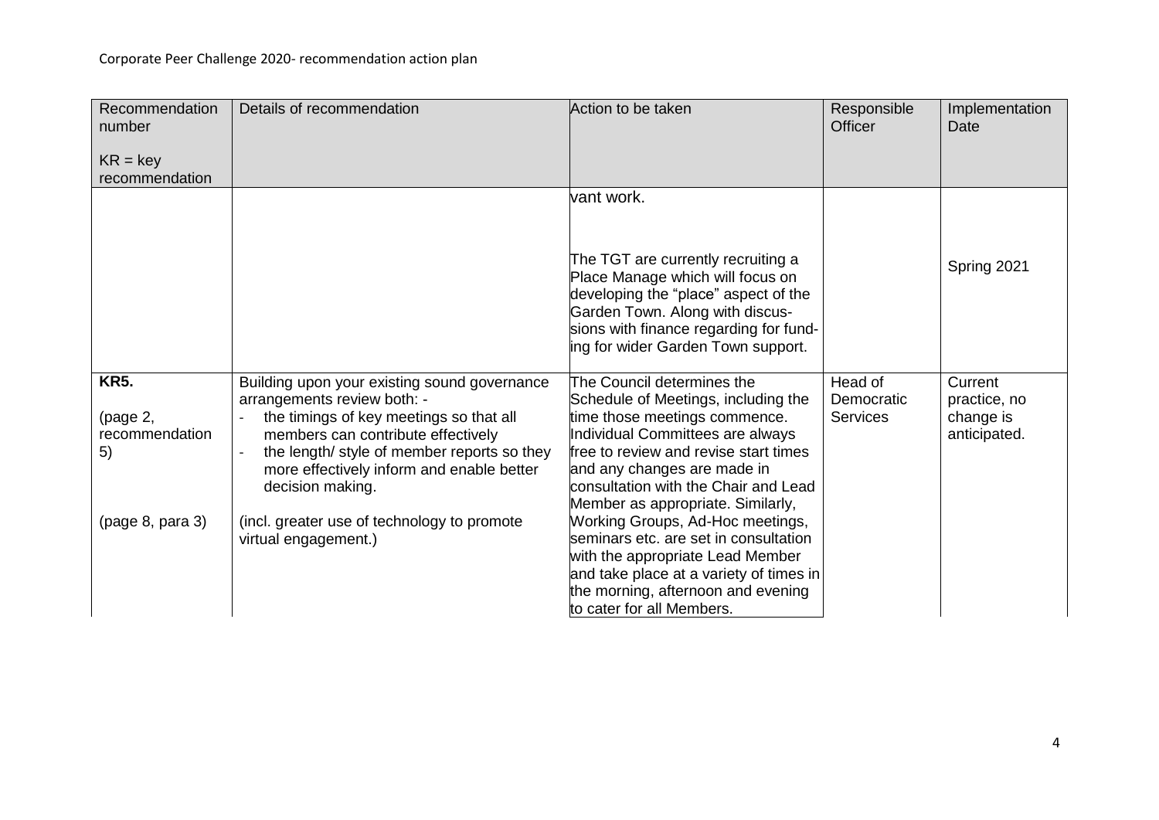| Recommendation<br>number                        | Details of recommendation                                                                                                                                                                                                                                                    | Action to be taken                                                                                                                                                                                                                                                                          | Responsible<br><b>Officer</b>            | Implementation<br>Date                               |
|-------------------------------------------------|------------------------------------------------------------------------------------------------------------------------------------------------------------------------------------------------------------------------------------------------------------------------------|---------------------------------------------------------------------------------------------------------------------------------------------------------------------------------------------------------------------------------------------------------------------------------------------|------------------------------------------|------------------------------------------------------|
| $KR = key$<br>recommendation                    |                                                                                                                                                                                                                                                                              |                                                                                                                                                                                                                                                                                             |                                          |                                                      |
|                                                 |                                                                                                                                                                                                                                                                              | vant work.<br>The TGT are currently recruiting a<br>Place Manage which will focus on<br>developing the "place" aspect of the<br>Garden Town. Along with discus-<br>sions with finance regarding for fund-                                                                                   |                                          | Spring 2021                                          |
|                                                 |                                                                                                                                                                                                                                                                              | ing for wider Garden Town support.                                                                                                                                                                                                                                                          |                                          |                                                      |
| <b>KR5.</b><br>(page 2,<br>recommendation<br>5) | Building upon your existing sound governance<br>arrangements review both: -<br>the timings of key meetings so that all<br>members can contribute effectively<br>the length/ style of member reports so they<br>more effectively inform and enable better<br>decision making. | The Council determines the<br>Schedule of Meetings, including the<br>time those meetings commence.<br>Individual Committees are always<br>free to review and revise start times<br>and any changes are made in<br>consultation with the Chair and Lead<br>Member as appropriate. Similarly, | Head of<br>Democratic<br><b>Services</b> | Current<br>practice, no<br>change is<br>anticipated. |
| (page 8, para 3)                                | (incl. greater use of technology to promote<br>virtual engagement.)                                                                                                                                                                                                          | Working Groups, Ad-Hoc meetings,<br>seminars etc. are set in consultation<br>with the appropriate Lead Member<br>and take place at a variety of times in<br>the morning, afternoon and evening<br>to cater for all Members.                                                                 |                                          |                                                      |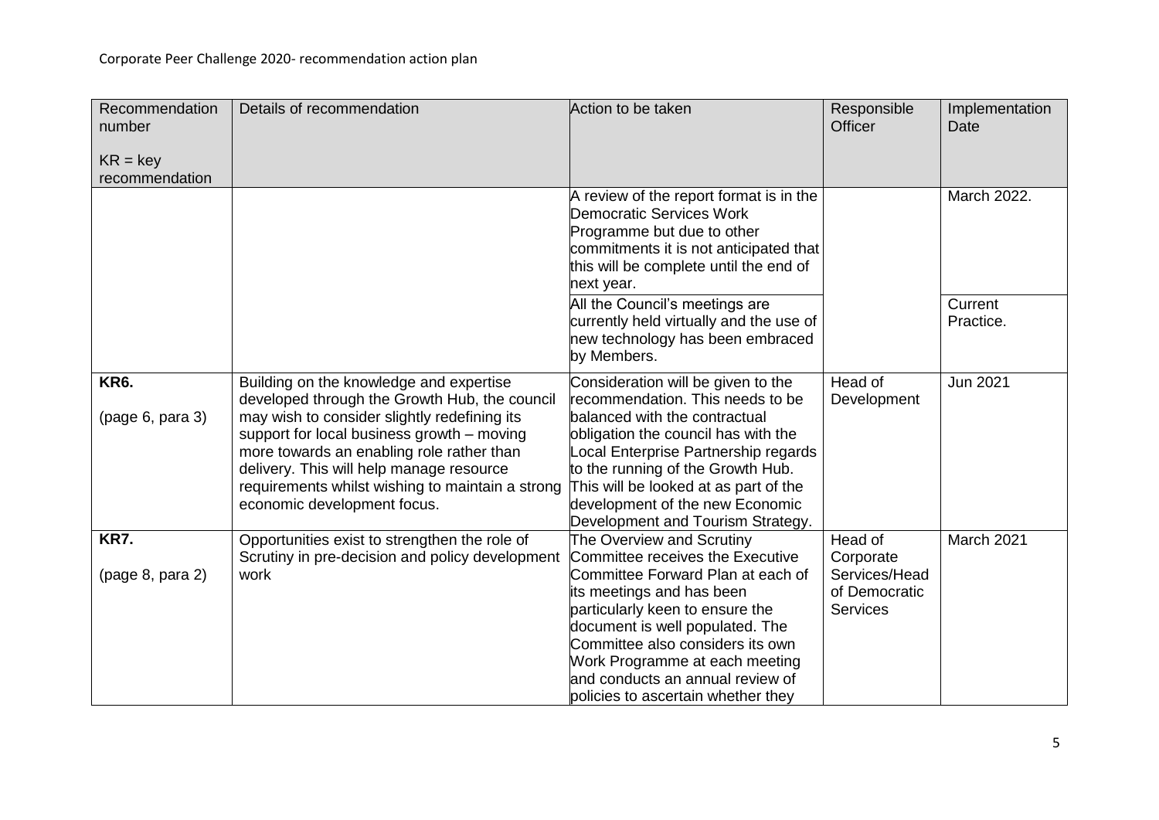| Recommendation<br>number<br>$KR = key$<br>recommendation | Details of recommendation                                                                                                                                                                                                                                                                                                                                          | Action to be taken                                                                                                                                                                                                                                                                                                                                    | Responsible<br><b>Officer</b>                                             | Implementation<br>Date |
|----------------------------------------------------------|--------------------------------------------------------------------------------------------------------------------------------------------------------------------------------------------------------------------------------------------------------------------------------------------------------------------------------------------------------------------|-------------------------------------------------------------------------------------------------------------------------------------------------------------------------------------------------------------------------------------------------------------------------------------------------------------------------------------------------------|---------------------------------------------------------------------------|------------------------|
|                                                          |                                                                                                                                                                                                                                                                                                                                                                    | A review of the report format is in the<br>Democratic Services Work<br>Programme but due to other<br>commitments it is not anticipated that<br>this will be complete until the end of<br>next year.                                                                                                                                                   |                                                                           | March 2022.            |
|                                                          |                                                                                                                                                                                                                                                                                                                                                                    | All the Council's meetings are<br>currently held virtually and the use of<br>new technology has been embraced<br>by Members.                                                                                                                                                                                                                          |                                                                           | Current<br>Practice.   |
| <b>KR6.</b><br>(page 6, para 3)                          | Building on the knowledge and expertise<br>developed through the Growth Hub, the council<br>may wish to consider slightly redefining its<br>support for local business growth - moving<br>more towards an enabling role rather than<br>delivery. This will help manage resource<br>requirements whilst wishing to maintain a strong<br>economic development focus. | Consideration will be given to the<br>recommendation. This needs to be<br>balanced with the contractual<br>obligation the council has with the<br>Local Enterprise Partnership regards<br>to the running of the Growth Hub.<br>This will be looked at as part of the<br>development of the new Economic<br>Development and Tourism Strategy.          | Head of<br>Development                                                    | <b>Jun 2021</b>        |
| <b>KR7.</b><br>(page 8, para 2)                          | Opportunities exist to strengthen the role of<br>Scrutiny in pre-decision and policy development<br>work                                                                                                                                                                                                                                                           | The Overview and Scrutiny<br>Committee receives the Executive<br>Committee Forward Plan at each of<br>its meetings and has been<br>particularly keen to ensure the<br>document is well populated. The<br>Committee also considers its own<br>Work Programme at each meeting<br>and conducts an annual review of<br>policies to ascertain whether they | Head of<br>Corporate<br>Services/Head<br>of Democratic<br><b>Services</b> | March 2021             |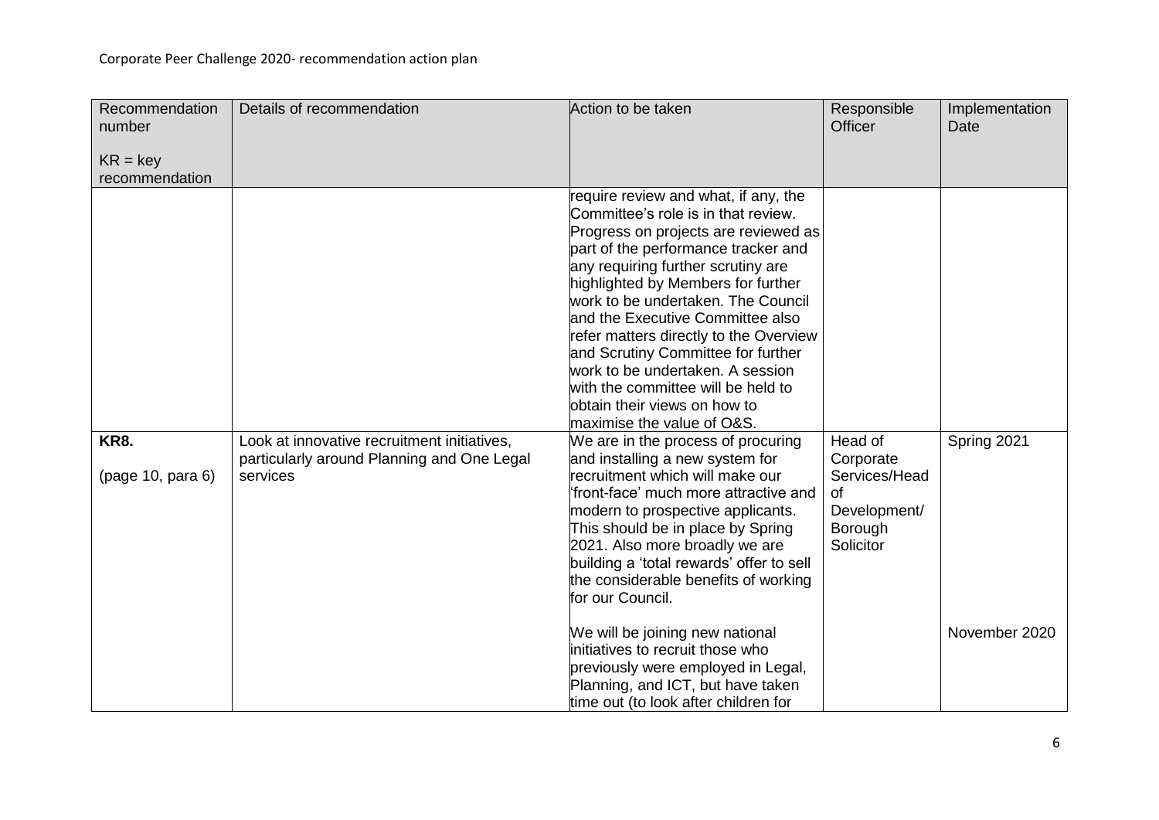| Recommendation<br>number<br>$KR = key$<br>recommendation | Details of recommendation                                                                             | Action to be taken                                                                                                                                                                                                                                                                                                                                                                                                                                                                                                                       | Responsible<br><b>Officer</b>                                                       | Implementation<br>Date |
|----------------------------------------------------------|-------------------------------------------------------------------------------------------------------|------------------------------------------------------------------------------------------------------------------------------------------------------------------------------------------------------------------------------------------------------------------------------------------------------------------------------------------------------------------------------------------------------------------------------------------------------------------------------------------------------------------------------------------|-------------------------------------------------------------------------------------|------------------------|
|                                                          |                                                                                                       | require review and what, if any, the<br>Committee's role is in that review.<br>Progress on projects are reviewed as<br>part of the performance tracker and<br>any requiring further scrutiny are<br>highlighted by Members for further<br>work to be undertaken. The Council<br>and the Executive Committee also<br>refer matters directly to the Overview<br>and Scrutiny Committee for further<br>work to be undertaken. A session<br>with the committee will be held to<br>obtain their views on how to<br>maximise the value of O&S. |                                                                                     |                        |
| <b>KR8.</b><br>(page 10, para 6)                         | Look at innovative recruitment initiatives,<br>particularly around Planning and One Legal<br>services | We are in the process of procuring<br>and installing a new system for<br>recruitment which will make our<br>front-face' much more attractive and<br>modern to prospective applicants.<br>This should be in place by Spring<br>2021. Also more broadly we are<br>building a 'total rewards' offer to sell<br>the considerable benefits of working<br>for our Council.                                                                                                                                                                     | Head of<br>Corporate<br>Services/Head<br>0f<br>Development/<br>Borough<br>Solicitor | Spring 2021            |
|                                                          |                                                                                                       | We will be joining new national<br>initiatives to recruit those who<br>previously were employed in Legal,<br>Planning, and ICT, but have taken<br>time out (to look after children for                                                                                                                                                                                                                                                                                                                                                   |                                                                                     | November 2020          |